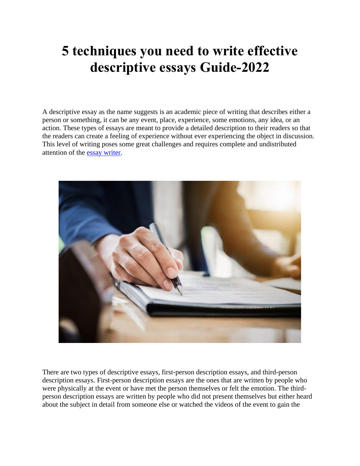## **5 techniques you need to write effective descriptive essays Guide-2022**

A descriptive essay as the name suggests is an academic piece of writing that describes either a person or something, it can be any event, place, experience, some emotions, any idea, or an action. These types of essays are meant to provide a detailed description to their readers so that the readers can create a feeling of experience without ever experiencing the object in discussion. This level of writing poses some great challenges and requires complete and undistributed attention of the [essay writer.](https://youressaywriter.net/essay-writer)



There are two types of descriptive essays, first-person description essays, and third-person description essays. First-person description essays are the ones that are written by people who were physically at the event or have met the person themselves or felt the emotion. The thirdperson description essays are written by people who did not present themselves but either heard about the subject in detail from someone else or watched the videos of the event to gain the